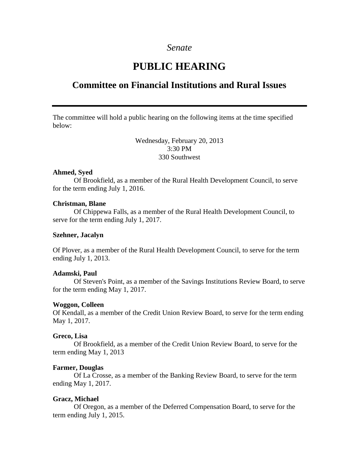### *Senate*

# **PUBLIC HEARING**

## **Committee on Financial Institutions and Rural Issues**

The committee will hold a public hearing on the following items at the time specified below:

> Wednesday, February 20, 2013 3:30 PM 330 Southwest

#### **Ahmed, Syed**

Of Brookfield, as a member of the Rural Health Development Council, to serve for the term ending July 1, 2016.

#### **Christman, Blane**

Of Chippewa Falls, as a member of the Rural Health Development Council, to serve for the term ending July 1, 2017.

#### **Szehner, Jacalyn**

Of Plover, as a member of the Rural Health Development Council, to serve for the term ending July 1, 2013.

#### **Adamski, Paul**

Of Steven's Point, as a member of the Savings Institutions Review Board, to serve for the term ending May 1, 2017.

#### **Woggon, Colleen**

Of Kendall, as a member of the Credit Union Review Board, to serve for the term ending May 1, 2017.

#### **Greco, Lisa**

Of Brookfield, as a member of the Credit Union Review Board, to serve for the term ending May 1, 2013

#### **Farmer, Douglas**

Of La Crosse, as a member of the Banking Review Board, to serve for the term ending May 1, 2017.

#### **Gracz, Michael**

Of Oregon, as a member of the Deferred Compensation Board, to serve for the term ending July 1, 2015.